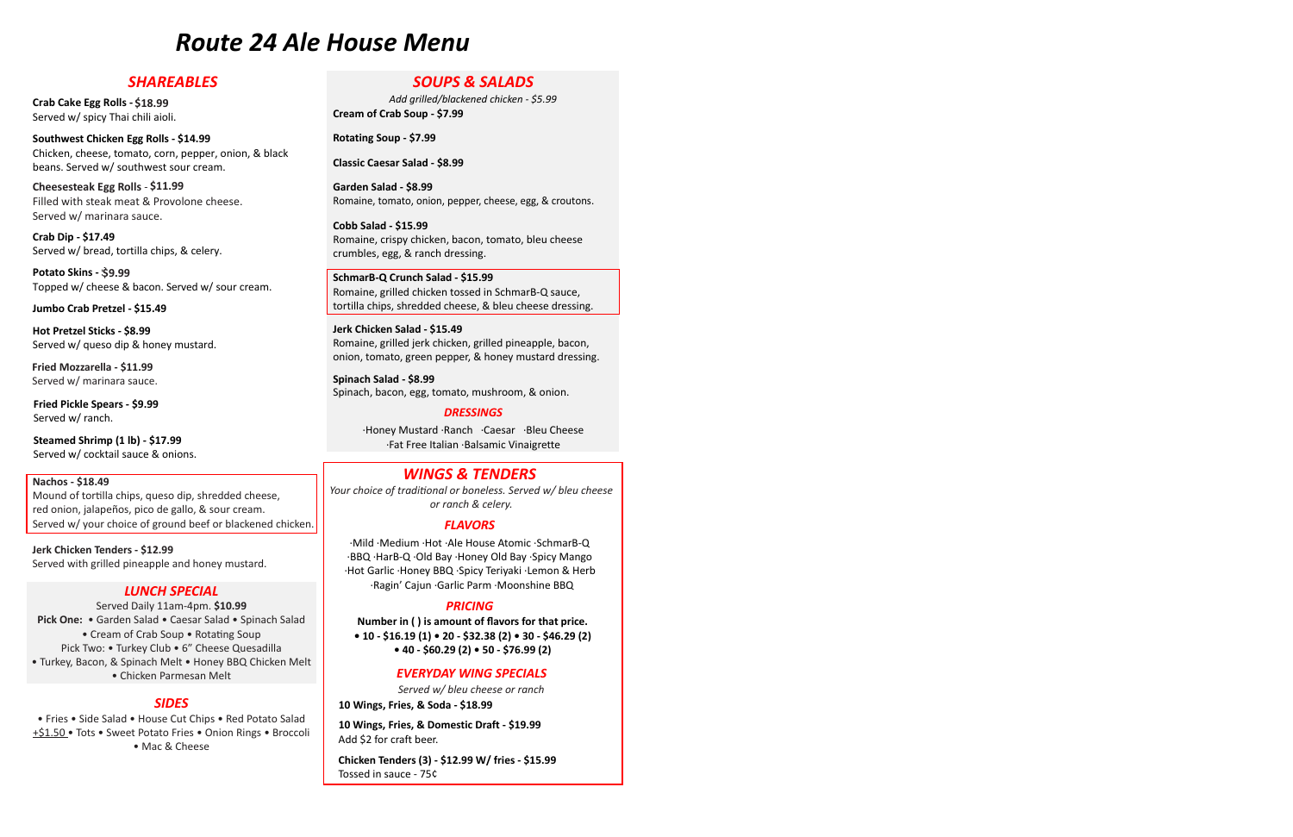### *Route 24 Ale House Menu* **Route 24 Ale House Menu** *Route 24 Ale House Menu SOUPS & SALADS SHAREABLES SOUPS & SALADS Route 24 Ale House Menu Route 24 Ale House Menu*

### *SHAREABLES* **CRABELES Crab Cake Egg Rolls - \$18.49**

Crab Cake Egg Rolls - \$18.99 Served w/ spicy Thai chili aioli. **Southwest Chicken Egg Rolls - \$14.99**  beans. Served w/ southwest southwest sources sources sources sources sources sources sources sources sources s

 $$14.99$ <br> $$14.99$ <br>Rotating Soup - \$7.99 **changing** constraints consider the set of  $\alpha$  southwest sour crear **Southwest Chicken Egg Rolls - \$14.99** beans. Served w/ southwest sour cream. Chicken, cheese, tomato, corn, pepper, onion, & black beans. Served w/ southwest sour cream. **Crab Cake Egg Rolls - \$18.49 Southwest Chicken Egg Rolls - \$14.99 Crab Dip - \$17.49**  Chicken, cheese, tomato, corn, pepper, onion, & black Fillen with steak meat with steam with steam with steam with steam with steam with steam with steam with steam with steam with steam with steam with steam with the steam with the steam with the steam with the steam with th  $S$ erved waaring waarned waaronde waaronde waaronde waaronde waaronde waaronde waaronde waaronde waaronde waaronde waaronde waaronde waaronde waaronde waaronde waaronde waaronde waaronde waaronde waaronde waaronde waarond **CRIPS, SERVED, CONCRET CONSTRUCT** SCRIPTION SCRIPTION

**Crab Cake Egg Rolls - \$18.49**  Filled with steak ineat & Prove Filled with steak meat & Provolone cheese. Served w/ marinara sauce.  $\mathbf{b}$  served with source source. **Cheesesteak Egg Rolls** - **\$10.99 Crab Dip - \$17.49 Potato Skins - \$8.99** Cheesesteak Egg Rolls - \$11.99  $\mathcal{T}_\text{C}$  and  $\mathcal{T}_\text{C}$  and  $\mathcal{T}_\text{C}$  and  $\mathcal{T}_\text{C}$  and  $\mathcal{T}_\text{C}$  and  $\mathcal{T}_\text{C}$  and  $\mathcal{T}_\text{C}$ **Sesteal**<br>
l with s<br>
ed w/ n<br> **Dip - \$**<br>
std w/ b<br> **Dio Skins**<br>
ed w/ c<br> **Dio Crab** Filled with steak meat & Provolone cheese. Carved w/ marinara squee **Served w/ marinara sauce. Example Biomerand Section**<br> **Dip Pickle Biomerand With Section**<br> **Dip - \$**<br> **Dip - \$**<br> **Dip - \$**<br> **Dip Section Cheesesteak Egg Rolls - \$11.99 Filled with steak meat & Provolone cheese.** Served w/ marinara sauce. **Sesteal**<br> **Dip - \$**<br> **Dip - \$**<br> **Dip - \$**<br> **Did w/b**<br> **Diskins<br>
<b>Did W/c**<br> **Diskins**<br> **Did W/c**<br> **Diskins** 

**Southwest Chicken Egg Rolls - \$14.99**  Chicken, cheese, tomato, corn, pepper, pepper, pepper, pepper, pepper, pepper, pepper, pepper, pepper, pepper, pepper, pepper, pepper, pepper, pepper, pepper, pepper, pepper, pepper, pepper, pepper, pepper, pepper, pepper,  $\sigma$ erved w/ bread, torthia crips,  $\alpha$  celery. Served w/ bread, tortilla chips, & celery. **Crab Dip - \$17.49** Topped w/ cheese & bacon. Served w/ sour cream. **Crab Dip - \$17.49 Potato Skins - \$8.99 Hot Pretzel Sticks - \$8.99**  Served w/ bread, tortina chips, & celery **Hot Pretzel Sticks - \$8.99**  Chicken, cheese, tomato, corn, pepper, onion, & black **Crab Dip - \$17.49**  crab Dip - 317.45<br>Served w/ bread, tortilla chips, & celery. **Crab Dip - \$17.49 The source Back w/ source & back w/ source & back w/ source & back w/ source & back w/ source & back w/ source & back w/ source & back w/ source & back w/ source & back w/ source & back w/ source & bac**  $\frac{1}{2}$ Cheese topped to the cheese top cheese the cheese seed as  $\frac{1}{2}$ **Jumbo Crab Pretzel - \$15.49 Jumbo Crab Pretzel - \$15.49** 

**CCC - \$11115 PULALU**<br>Tanga alam/alangan Topped w/ crieese & bacon. Served w/ st Served w/ bread, tortilla chips, & celery. Topped w/ cheese & bacon. Served w/ sour cream. Topped w/ cheese & bacon. Served w/ sour cream. **Jumbo Crab Pretzel - \$15.49 Hot Pretzel Sticks - \$8.99 Potato Skins - \$8.99 Jumbo Crab Pretzel - \$15.49 Fried Pickle Spears - \$9.49**  Crice<sub>s</sub> **Fried Pickle Spears - \$9.49 Crab Dip - \$17.49 Potato Skins - \$8.99 Hot Pretzel Sticks - \$8.99**  الادروبية - Topped w/ cheese & bacon. Served w/ sour cream. **Hot Pretzel Sticks - \$8.99**  ا المستاد العام العام العام العام العام العام العام العام العام العام العام العام العام العام العام العام العا<br>العام العام العام العام العام العام العام العام العام العام العام العام العام العام العام العام العام العام ال

**Potato Skins - \$8.99 Fried Pickle Spears - \$9.49 Jumbo Crab Pretzel - \$15.49 Hot Pretzel Sticks - \$8.99**  Served w/ queso dip & honey mustard. **Steamed Shrimp (1 lb) - \$16.99 Steamed Shrimp (1 lb) - \$16.99**  Served w/ cocktail sauce & onions. **Potato Skins - \$8.99 Jumbo Crab Pretzel - \$15.49 Fried Pickle Spears - \$9.49 Fried Pickle Spears - \$9.49**  p Pretz

Hot Pretzel Sticks - \$8.99 **Jerved W/ queso dip & Hone Jumbo Crab Pretzel - \$15.49 Fried Pickle Spears - \$9.49**  Served w/ queso dip & honey mustard. Served w/ queso dip & honey mustard. HOT Pretzel Sticks Served w/ ranch. **Hot Pretzel Sticks - \$8.99<br>Cocktail sauce & onions. Served w/ source & bacon. Served w/ source & bacon. Served w/ source & bacon. Served w Shrima Shrima Shrima Shrima Shrima Shrima Shrima Shrima Shrima Shrima Shrima Shrima Shrima Shrima Shrima Shrima Shrima Shrima Shrima Shrima Shrima Shrima Shrima Shrima Shrim HOL PRELZEL STICKS - \$6.99**<br>Served w/ queso dip & honey mustard. **Hot Pretzel Sticks - \$8.99 Steam** Stream Shrimph Shrimph Shrimph Shrimph Shrimph Shrimph Shrimph Shrimph Shrimph Shrimph Shrimph Shrimph Shrimph Shrimph Shrimph Shrimph Shrimph Shrimph Shrimph Shrimph Shrimph Shrimph Shrimph Shrimph Shrimph Shrimph queso dip & noney must

**Hota Predix Bot**<br>Consults *- Association* - \$8.99  $S$ erved w/ mannara sauce. **Served w/ marinara sauce. Steamed Shrimp (1 lb) - \$16.99**  Fried Mozzarella -  $$11.99$ Served w/ cocktail sauce & onions. Fried Mozzarella - \$11.99 اس العالمية العالمية العالمية العالمية التي تقدم العالمية التي تقدم التي تقدم التي تقدم التي تقدم التي تقدم ا<br>التي تقدم التي تقدم التي تقدم التي تقدم التي تقدم التي تقدم التي تقدم التي تقدم التي تقدم التي تقدم التي تقدم ا Served w/ marinara sauce.

**Fried Pickle Spears - \$9.99<br>Served w/ ranch.** Served w/ ranch. Served w/ ranch.

Steamed Shrimp  $(1 lb) - $17.99$ Served w/ cocktail sauce & onions. Served w/ cocktail sauce & onions. choice of ground between the ground between  $\mathcal{L}$ 

#### Nachos - \$18.49 your choice of ground between the ground between  $\mathcal{L}_{\mathcal{A}}$ onion, jalapeños, pico de gallo, & sour cream. Served w/ **Nachos - \$18.49**

rea omony jalape<br>Sorvod w/ vour c Served w/ your choice of ground beef or blackened chick **Nachos - 518.49**<br>Mound of tortilla chips, queso dip, shredded cheese, red onion, jalapeños, pico de gallo, & sour cream. Served w/ your choice of ground beef or blackened chicken. Senar B-Q (Senar B-Q (Senar B-Q (Senar B-Q (Senar B-Q (Senar B-Q (Senar B-Q (Senar B-Q (Senar B-Q (Senar B-Q (Senar B-Q (Senar B-Q (Senar B-Q (Senar B-Q (Senar B-Q (Senar B-Q (Senar B-C )<br>
Schema B-S1.99 (In 2,511.99 (In 2 **Nachos • 518.49**<br>Mound of tortilla chips, queso dip, shredded cheese, Ividunu of tortina chips, queso dip, shrequed ch Served warehouse appearance with the home must be a home must be absoluted pine must be a home must be absolut<br>National mustard. Mound of tortilla chips, queso dip, shredded cheese,

**Jerk Chicken Tenders - \$18.99**

Served w/ grilled pineapple & honey mustard.

 $J$ erk Chicken Tenders - \$12.99 **Served with grilled pineapple and honey mustard.** Served with grilled pineapple and honey mustard. **Jerk Chicken Tenders - \$11.99 Jerk Chicken Tenders - \$12.99** onion, jalapeños, pico de gallo, & sour cream. Served w/ **Jerk Chicken Tenders - \$11.99 Jerk Chicken Tenders - \$12.99**

### **Jerk Chicken Tenders - \$11.99**  Served w/ grilled pineapple  $\mathcal{L}$  convert specified pineapple  $\mathcal{L}$ *LUNCH SPECIAL Served Daily 11am-4pm.* **\$9.99** *LUNCH SPECIAL* Served w/ grilled pineapple & honey mustard.

**• Chicken Parmesan Melt** ·Honey **· Chicken Melt** ·Honey BBQ Chicken Melt ·Honey BBQ Chicken Melt ·Honey BBQ Chicken Melt ·Honey BBQ Chicken Melt ·Honey BBQ Chicken Melt ·Honey BBQ Chicken Melt ·Honey BBQ Chicken Melt ·Hon **Runch Special • Caesar Salad • 3** • Cream of Crab Soup • Rotating Soup **PICK TWO: • TUTKEY CIUD • 0 CHEESE QUESdUINE** ·Cream of Crab Soup ·Rotating Soup *Pick Two***:** ·Turkey Club ·6" Cheese Quesadilla **LUNCH SPECIAL**<br>
Served Daily 11am-4pm. \$10.99 **Pick One of the Salad Salad ·Caesar Salad ·Caesar Salad ·Caesar Salad ·Caesar Salad · Spinach Salad · Spinach S**<br>Pick of the Salad · Spinach Salad · Spinach Salad · Spinach · Spinach · Spinach · Spinach · Spinach · Spinac  $\frac{1}{2}$  of Critical Soup  $\frac{1}{2}$  of Critical Soup  $\frac{1}{2}$ (18.99<br>
18.99<br>
18.98<br>
18.0818 = \$14.99<br>
18.0818 = \$11.99<br>
18.0818 = \$11.99<br>
18.0818 = \$11.99<br>
18.0818 = \$11.99<br>
18.0818 = \$11.99<br>
18.0818 = \$11.99<br>
18.0818 = \$11.99<br>
18.0818 = \$11.99<br>
18.0818 = \$11.99<br>
18.082 = \$11.99<br>
18. **LUNCH Spinach Welt • Honey**<br>Chicken Parmesan Mel *Served Daily 11am-4pm.* **\$9.99 Price Contract Property Selection** Concrete *Chicken* Democrat Molt **LUNCH SPECIAL SOUP · CONTRACT INC.**<br>• Chicken Parmesan Melt *Pick One***:** ·Garden Salad ·Caesar Salad ·Spinach Salad • Garuen Salau • Caesar Salau • Spin Pick Two: • Turkey Club • 6" Cheese Quesadilla • 10 - 516.19 (1) • 20<br>2.60.2 • 40 - 60.2 • Turkey Club • 6" Cheese Quesadilla **The Bacon, Bachel Melt ·Home BBQ Chicken Melt** ·Chicken Parmesan Melt Served Dany Train-4pm. 210.33 *Pick Two***:** ·Turkey Club ·6" Cheese Quesadilla ·Mild ·Medium ·Hot ·Ale House Atomic ·SchmarB-Q **Pick One:** • Garden Salad • Caesar Salad • Spinach Salad *LUNCH SPECIAL Served Daily 11am-4pm.* **\$9.99** • Tick Two. • Turkey Club • G. Cricese Quesadilla<br>• Turkey, Bacon, & Spinach Melt • Honey BBQ Chicken Melt • *FLAVORS PRICING Served w/ bleu cheese or ranch.* Served Daily 11am-4pm. **\$10.99** *LUNCH SPECIAL*

#### **SIDES** ·Turkey, Bacon, & Spinach Melt ·Honey BBQ Chicken Melt *Pick Two***:** ·Turkey Club ·6" Cheese Quesadilla **10 Wings, Fries, & Soda - \$18.99 10 Wings, Fries, & Soda - \$18.99**

*LUNCH SPECIAL Pick One***:** ·Garden Salad ·Caesar Salad ·Spinach Salad ·Chicken Parmesan Melt **Saram-1100 · Cream-1pm.** • Neu Politics and Soup **Bridge**<br>Its • Sweet Potato Fries • Onion Rings • Mac & Cheese  $+ $1.50 \cdot$  Tots • Sweet Potato Fries • Onion Rings • Broccoli **10 Wings, Fries, & Dor**<br>Add \$2 for craft beer.  $\bullet$  Ivide & Shierse • Fries • Side Salad • House Cut Chips • Red Potato Salad **10 Wings, Fries, & D.**<br>+\$1.50 • Tots • Sweet Potato Fries • Onion Pings • Broccoli **10 Wings, Fries, & D.** • Fries • Side Salad • House Cut Chips • Red Potato Salad 10 Wing **Chicken Tenders (3) - \$12.99 W/ fries - \$15.99**  $\frac{+51.50}{ }$  Tots • Sweet Potato Fries • Onion Rings • Broccoli

# *SOUPS & SALADS SOUPS & SALADS Add grilled/blackened chicken - \$5.99*  **Cream of Crab Soup - \$7.49** *SOUPS & SALADS*

*Add grilled/blackened chicken - \$5.99*<br>**Cream of Crab Soup - \$7.99 SUUPS & SALADS**<br>Add grilled/blackened chicken - \$5.99<br>Cream of Crab Soup - \$7.99 **Classic Caesar Salad - \$8.49** *Add grilled/blackened chicken - \$5.99*  **Cream of Crab Soup - \$7.49**

*SOUPS & SALADS Add grilled/blackened chicken - \$5.99 SOUPS & SALADS*

**Classic Caesar Salad - \$8.99** *Add grilled/blackened chicken - \$5.99* 

**Garden Salad - \$8.99** Romaine, tomato, onion, pepper, cheese, egg, & croutons. Garden Salad - \$8.99 **Caractical 4**<br>**Pomaine tomate onion per** Romaine, comate, emeri, pepper, enecee, egg, et ereator Romaine, crispy chicken, bacon, tomato, bleu cheese  $\ldots$ crumbles, equations, equations, experiences,  $\ldots$ *SOUPS & SALADS Add grilled/blackened chicken - \$5.99*  Romanic, tomato, onlo **Garden Salad - poliss** Romaine, tomato, onion, pepper, cheese, egg, & croutons. Romaine, tomato, onion, pepper, cheese, egg, & croutons.

**Cream of Crab Soup - \$7.49 Cobb Salad - \$15.99 Cobb Salad - \$15.99 Classic Caesar Salad - \$8.49** Romanic, crispy criter **Classic Caesar Salad - \$8.49 Cobb Salad - \$15.99**  Romaine, crispy chicken, bacon, tomato, bleu cheese Romaine, crispy chicken, bacon, tomato, bleu cheese crumbles, egg, & ranch dressing. Romaine, tomato, onion, pepper, cheese, egg, & croutons. **Cobb Salad - \$15.99 Cobo Salad - \$15.99**<br>Romaine, crispy chicken, bacon, tomato, bleu cheese  $R_0$  and  $R_0$ ,  $R_0$  and  $R_0$  satisfies to some  $\overline{R}_0$ Romanie, enspy emeren, bacon, comato, bied encese tortillate cheese, exploration at essang. **Classic Caesar Salad - \$8.49 Cobb Salad - \$15.99**  crumbles, egg, & ranch dressing. **Cobb Salad - \$15.99**  crispy chicken, bleu chicken, bleu cheese, bleu cheese, bleu cheese, bleu cheese, bleu cheese, bleu cheese, bl<br>Extension cheese, bleu cheese, bleu cheese, bleu cheese, bleu cheese, bleu cheese, bleu cheese, bleu cheese, b Romanie, crispy chicken, bacon,

SchmarB-Q Crunch Salad - \$15.99 Romaine, grilled chicken tossed in SchmarB-Q sauce, tortilla chips, shredded cheese, & bleu cheese dressing. crumbles, egg, & ranch dressing. **schmare, grincd emergen tossed in**<br> **tortilla chips, shredded cheese, &** Romaine, crispy chicken, bacon, tomato, bleu cheese tortina chips, sin equed cheese, & bied cheese dressing Romaine, grilled emerent tossed in semmais Q saace, torting emps, sincuded eneese,  $\alpha$  bied eneese dressing. Romaine, tomato, onion, pepper, cheese, egg, & croutons. Romaine, tomato, onion, pepper, cheese, egg, & croutons. Romaine, grilled chicken tossed in SchmarB-Q sauce, c<br>ins shredded cheese, & bleu cheese dressin crumbles, egg, & ranch dressing. tortilla chips, shredded cheese, & bleu cheese dressing. **SchmarB-Q Crunch Salad - \$15.99**   $R_{\rm F}$ omarb-Q crunch salad - 515.99

Jerk Chicken Salad - \$15.49 Jerk Chicken Salad - 513.49<br>Romaine, grilled jerk chicken, grilled pineapple, bacon, onion, tomato, green pepper, & honey mustard dressing. tortilla chips, shredded cheese, shredded cheese, bleu cheese, bleu cheese, bleu cheese, bleu cheese, bleu che tortial cheese, grilled price pricepple, bacon, onion, tomato, green pepper, & honey mustard dressing Romaine, grilled chicken tossed in SchmarB-Q sauce, Sinon, tomato, green pepper, & noney mustard die Spinality, grined Jerk Chickeri, grined phieappie, bach, and also onion, tomato, green pepper, & honey mustard dress Served with the cocktain satisfied with the cocktain satisfied with the cocktain  $\sim$ Romaine, grilled jerk chicken, grilled pineapple, bacon, **Jerk Chicken Salad - \$15.49**  Romanie, grined Jerk chicken, grined pineappie, bacon,<br>onion, tomato, green pepper, & honey mustard dressing. **Jerk Chicken Salad - \$15.49**  Romanic de jerk chicken, grilled pineapple, bacon, bacon, bacon, bacon, bacon, bacon, bacon, bacon, bacon, bac<br>Jerk chilchen balau - 515.45 Konianië, grineu jerk chicken, grineu pineappie, bacon,

Spinach Salad - \$8.99 and the state of the state of the state of the state of the state of the state of the st Spinach, bacon, egg, tomato, mushroom, & onion. onion, tomato, green pepper, & honey mustard dressing.  $R_{\rm F}$  chicken, gridled pineapple, bacon, grilled pineapple, bacon, grilled pineapple, bacon, grilled pineapple, bacon, grilled pineapple, and  $\alpha$ Romaine, grilled jerk chicken, grilled pineapple, bacon, onion, tomato, green pepper, & honey mustard dressing. *DRESSINGS* ach, bacon, egg, tomato, mushfooni, & onion.<br>. ·Honey Mustard ·Ranch ·Caesar ·Bleu Cheese acon, egg, tomato, musinooni, & onioi Served w/ cocktail sauce  $\mathsf{S}\mathsf{p}$ Served w/ cocktail sauce  $\mathbb{S}^n$ Spinach Salau - 90.99<br>Chinach beson, ega tomste, mushroom, 8 onien Spinach, bacon, egg, tomato, mushroom, & onion. **Spinach Salad - \$8.49 Spinach Salad - \$8.49** Spinach, bacon, egg, tomato, mushroom, & onion. **Spinach** Spinach,

#### **Example 2018 DRESSINGS** Spinach, bacon, egg, tomato, mushroom, egg, tomato, mushroom, egg, tomato, mushroom, egg, tomato, mushroom, eg<br>Spinach, egg, tomato, mushroom, egg, tomato, egg, tomato, egg, tomato, egg, tomato, egg, tomato, egg, tomato, Romaine, grilled jerk chicken, grilled pineapple, bacon, *DRESSINGS*

**Jerk Chicken Salad - \$15.49**  onion, tomato, green pepper, & honey mustard dressing. *DRESSINGS* ·Honey Mustard ·Ranch ·Caesar ·Bleu Cheese ·Honey Mustard ·Ranch ·Caesar ·Bleu Cheese Fat Free Italian Balsamic Vinaigrette ·Fat Free Italian ·Balsamic Vinaigrette Spinach, bacon, bacon, bacon, bacon, bacon, bacon, bacon, bacon, bacon, bacon, bacon, and bacon, and bacon, and Honey Mustard Ranch Caesar Bleu Cheese *DRESSINGS*<br>Fromey wrostand wanter caesar bied cheese .<br>Fat Free Italian Balsamic Vinaigrette. ·Honey Mustard ·Ranch ·Caesar ·Bleu Cheese Mound of tortilla chips, queso dip, shredded cheese, red onion, jalapeños, pico de gallo, & sour cream. Served w/ your choice of ground beef orblackened chicken. choice of ground between  $\mathcal{C}$ onion, to matter than an individual person in the set of the set of the set of the set of the set of the set o onion, tomato, green pepper, & honey mustard dressing. **Fat Free Italian ·Balsamic Vinaigrette** Spinach, bacon, egg, tomato, mushroom, & onion. ·Honey Mustard ·Ranch ·Caesar ·Bleu Cheese  $\mathcal{L}$  -  $\mathcal{L}$   $\mathcal{L}$   $\mathcal{L}$   $\mathcal{L}$   $\mathcal{L}$   $\mathcal{L}$   $\mathcal{L}$   $\mathcal{L}$   $\mathcal{L}$   $\mathcal{L}$   $\mathcal{L}$   $\mathcal{L}$   $\mathcal{L}$   $\mathcal{L}$   $\mathcal{L}$   $\mathcal{L}$   $\mathcal{L}$   $\mathcal{L}$   $\mathcal{L}$   $\mathcal{L}$   $\mathcal{L}$   $\mathcal{L}$   $\mathcal{L}$   $\mathcal$ 

#### onion, tomato, green pepper, & honey mustard dressing. **WINGS & TENDERS** Spinach, bacon, egg, tomato, mushroom, & onion. *DRESSINGS Your choice of traditional or boneless. Served w/ bleu cheese or ranch & celery.* **Spinach Salad - \$8.49** *DRESSINGS WINGS & TENDERS WINGS & TENDERS Your choice of traditional or boneless. Served w/ bleu cheese*

Your choice of traditional or boneless. Served w/ ble *DRESSINGS* roice of traditional or boneiess. Served wy bied cheese.  $\sigma$  randing  $\alpha$  defer  $\gamma$ . Your choice of traditional or boneless. Served w/ bleu cheese *our choice of traditional or boneless. Served wy bleu cheese*<br>or ranch & celery. *or ranch & celery.* ·Mild ·Medium ·Hot ·Ale House Atomic ·SchmarB-Q *Your choice of traditional or boneless. Served w/ bleu cheese or ranch & celery. FLAVORS or ranch & celery. Your choice of traditional or boneless. Served w/ bleu cheese or ranch & celery. DRESSINGS* ·Fat Free Italian ·Balsamic Vinaigrette *or ranch & celery.*  $\sigma$  randing celery. *Your choice of traditional or boneless. Served w/ bleu cheese or ranch & celery.* **FLAVORS** 

### $FLAVORS$ Chicago Cheese, tomato, contra un pepper, pepper, pepper, pepper, pepper, pepper, pepper, pepper, pepper, pepp

*FLAVORS*

*PRICING*

*EVERYDAY WING SPECIALS*

**FLAVORS**<br>Mild Medium Hot Ale House Atomic SchmarB-Q d.<br>Hot Garlic Honey BBQ Spicy Teriyaki -Lemon & Herb<br>Bagin' Caiun -Garlic Parm -Moonshine BBQ *Your choice of traditional or boneless. Served w/ bleu cheese FLAVORS* BBQ · HarB-Q · Old Bay · Honey Old Bay · Spicy Mango **ICH SPECIAL** Ragin' Cajun Garlic Parm Moonshine BBQ ·Ragin' Cajun ·Garlic Parm ·Moonshine BBQ **FLAVORS** BBQ · HarB-Q · Old Bay · Honey Old Bay · Spicy Mango ·Hot Garlic ·Honey BBQ ·Spicy Teriyaki ·Lemon & Herb ·Ragin' Cajun ·Garlic Parm ·Moonshine BBQ ·Ragin' Cajun ·Garlic Parm ·Moonshine BBQ *Your choice of traditional or boneless. Served w/ bleu cheese FLAVORS* ·Ragin' Cajun ·Garlic Parm ·Moonshine BBQ ·Mild ·Medium ·Hot ·Ale House Atomic ·SchmarB-Q ·BBQ ·HarB-Q ·Old Bay ·Honey Old Bay ·Spicy Mango ·BBQ ·HarB-Q ·Old Bay ·Honey Old Bay ·Spicy Mango<br>·Hot Garlic ·Honey BBQ ·Spicy Teriyaki ·Lemon & Herb rind **reduced b** *PRICING*

#### **PRICING**  $\overline{M}$ **NUMBER IN CONSTRUCTED IN A PRICING**

*FRICING*<br>Number in ( ) is amount of flavors for that price. • 10 - \$16.19 (1) • 20 - \$32.38 (2) • 30 - \$46.29 (2)  $\bullet$  40 - \$60.29 (2)  $\bullet$  50 - \$76.99 (2)  $\frac{1}{2}$  $\frac{1}{2}$  · Hot Garlier  $\left\{ \frac{1}{2} \right\}$  . So the spice of  $\left\{ \frac{1}{2} \right\}$  . So the spice of  $\left\{ \frac{1}{2} \right\}$ **Produced way with the contract of the cheese or ranch.** <br>
• **10** - **\$16.19** (**1**) • **20** - **\$32.38** (**2**) • **30** - **\$4**  $\sim10$  -  $\sim10$  -  $\sim10$  -  $\sim10$  -  $\sim10$  -  $\sim10$  -  $\sim10$ Number in ( ) is amount of flavors for that price. **10 Wings, Fries, & Soda - \$17.99**   $(10 - 310.15)$   $(1) - 20 - 35.30$   $(2) - 50$   $(3)$ <br> $(4)$   $(50 - 30)$   $(3)$   $(50 - 57)$  (2) (3) **ENICING**<br>Number in ( ) is amount of flavors for that price.  $\frac{1}{2}$   $\frac{1}{2}$   $\frac{1}{2}$   $\frac{1}{2}$   $\frac{1}{2}$   $\frac{1}{2}$   $\frac{1}{2}$   $\frac{1}{2}$   $\frac{1}{2}$   $\frac{1}{2}$   $\frac{1}{2}$   $\frac{1}{2}$   $\frac{1}{2}$   $\frac{1}{2}$   $\frac{1}{2}$   $\frac{1}{2}$   $\frac{1}{2}$   $\frac{1}{2}$   $\frac{1}{2}$   $\frac{1}{2}$   $\frac{1}{2}$   $\frac{1}{2}$  • 10 - \$16.19 (1) • 20 - \$32.38 (2) • 30 - \$46.29 (2) *EVERYDAY WING SPECIALS* Number in ( ) is amount of flavors for that price.<br>• 10 - \$16.19 (1) • 20 - \$32.38 (2) • 30 - \$46.29 (2<br>• 40 - \$60.29 (2) • 50 - \$76.99 (2) **• 10 - \$16.19 (1) • 20 - \$32.38 (2) • 30 - \$46.29 (2)**

#### **EVERYDAY WING SPECIALS** *PRICING* **EVERYDAY WING SPECIALS** *EVERYDAY WING SPECIALS*  $E$ *VERYDAY WING SPECIALS EVERYDAY WING SPECIALS*

**EVERYDAY WING SPECIALS**<br>*Served w/ bleu cheese or ranch Served w/ bleu cheese or ranch.*  Served w/ bleu cheese or ranch *Served w/ bleu cheese or ranch.* **Served w/ bleu cheese or ranch.** 

*Wings, Fries, & Soda - \$18.99* **10 Wings, Fries, & Soda - \$17.99**  10 Wings, Fries, & Soda - \$18.99 **10** Wings, Fries, & Soda - \$18.99 *Served w/ bleu cheese or ranch.* 10 Wings, Fries, & Soda - \$18.99

10 Wings, Fries, & Domestic Draft - \$19.99 20 million Company of Democrate Draw (1996)  $\frac{4}{5}$  or start been.  $\frac{1}{2}$  for  $\frac{1}{2}$  for craft beer. *Served w/ bleu cheese or ranch.* 

Served w/ grilled pineapple applications and the honey must be a honey must be a honey must be a honey must be

**10 Wings, Fries, & Domestic Draft - \$18.99** 

Tossed in sauce - 75¢ *Served w/ bleu cheese or ranch. Served w/ bleu cheese or ranch.*  **Chicken Tenders (3) - \$11.99 W/ fries - \$14.99**  Served w/ queso dip & honey mustard.  $T_{\text{SUSC}}$  is seen as  $50%$ **10 Wings, Fries, & Soda - \$17.99 10 Wings, Fries, & Domestic Draft - \$18.99 10 Wings, Fries, & Domestic Draft - \$18.99 Chicken Tenders (3) - \$12.99 W/ fries - \$15.99 Chicken Tenders (3) - \$11.99 W/ fries - \$14.99 Chicken Tenders (3) - \$12.99 W/ fries - \$15.99** Served w/ grilled pineapple business with the served with the served with  $\frac{1}{2}$ *Served w/ bleu cheese or ranch.*  **Chicken Tenders (3) - \$11.99 W/ fries - \$14.99**